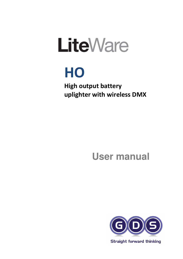# **LiteWare**

## HO

High output battery uplighter with wireless DMX

## **User manual**



**Straight forward thinking**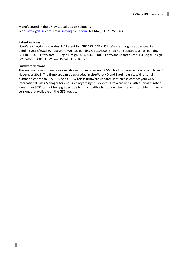Manufactured in the UK by Global Design Solutions Web www.gds.uk.com Email info@gds.uk.com Tel +44 (0)117 325 0063

#### Patent information

LiteWare charging apparatus: UK Patent No. GB2473474B · US LiteWare charging apparatus: Pat. pending US12/598,330 · LiteWare V2: Pat. pending GB1103835.3 · Lighting apparatus: Pat. pending GB1107353.3 · LiteWare: EU Reg'd Design 001600362-0001 · LiteWare Charger Case: EU Reg'd Design 001774555-0001 · LiteWare US Pat. USD616,579.

#### Firmware versions

This manual refers to features available in firmware version 2.56. This firmware version is valid from: 1 November 2011. The firmware can be upgraded in LiteWare HO and Satellite units with a serial number higher than 3651, using a GDS wireless firmware updater unit (please contact your GDS International Sales Manager for enquiries regarding this device). LiteWare units with a serial number lower than 3651 cannot be upgraded due to incompatible hardware. User manuals for older firmware versions are available on the GDS website.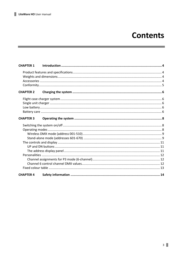## **Contents**

| <b>CHAPTER 1</b> |  |
|------------------|--|
|                  |  |
|                  |  |
|                  |  |
|                  |  |
| <b>CHAPTER 2</b> |  |
|                  |  |
|                  |  |
|                  |  |
|                  |  |
| <b>CHAPTER 3</b> |  |
|                  |  |
|                  |  |
|                  |  |
|                  |  |
|                  |  |
|                  |  |
|                  |  |
|                  |  |
|                  |  |
|                  |  |
|                  |  |
| <b>CHAPTER 4</b> |  |

<u> 1989 - Jan James James James James James James James James James James James James James James James James J</u>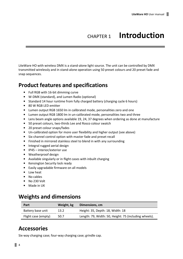## CHAPTER 1 Introduction

LiteWare HO with wireless DMX is a stand-alone light source. The unit can be controlled by DMX transmitted wirelessly and in stand-alone operation using 50 preset colours and 20 preset fade and snap sequences.

#### Product features and specifications

- Full RGB with 16-bit dimming curve
- W-DMX (standard), and Lumen Radio (optional)
- Standard 14 hour runtime from fully charged battery (charging cycle 6 hours)
- 80 W RGB LED emitter
- Lumen output RGB 1650 lm in calibrated mode, personalities zero and one
- Lumen output RGB 1800 lm in un-calibrated mode, personalities two and three
- Lens beam angle options available 19, 24, 37 degrees when ordering as done at manufacture
- 50 preset colours, two-thirds Lee and Rosco colour swatch
- 20 preset colour snaps/fades
- Un-calibrated option for more user flexibility and higher output (see above)
- Six-channel control option with master fade and preset recall
- Finished in mirrored stainless steel to blend in with any surrounding
- Integral rugged aerial design
- IP45 interior/exterior use
- Weatherproof design
- Available singularly or in flight cases with inbuilt charging
- Kensington Security lock ready
- Easily upgradable firmware on all models
- Low heat
- No cables
- No 230 Volt
- Made in UK

### Weights and dimensions

| Part                | Weight, kg | Dimensions, cm                                        |
|---------------------|------------|-------------------------------------------------------|
| Battery base unit   | 13.2       | Height: 35, Depth: 18, Width: 18                      |
| Flight case (empty) | 50.7       | Length: 79, Width: 50, Height: 75 (including wheels). |

#### **Accessories**

Six-way charging case; four-way charging case; grindle cap.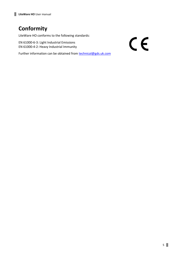## **Conformity**

LiteWare HO conforms to the following standards:

EN 61000-6-3: Light Industrial Emissions EN 61000-4-2: Heavy Industrial Immunity

Further information can be obtained from **technical@gds.uk.com** 

 $C<sub>f</sub>$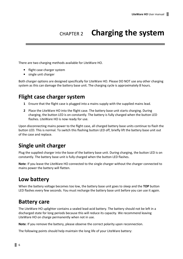## CHAPTER 2 Charging the system

There are two charging methods available for LiteWare HO.

- flight case charger system
- single unit charger

Both charger options are designed specifically for LiteWare HO. Please DO NOT use any other charging system as this can damage the battery base unit. The charging cycle is approximately 8 hours.

#### Flight case charger system

- 1 Ensure that the flight case is plugged into a mains supply with the supplied mains lead.
- 2 Place the LiteWare HO into the flight case. The battery base unit starts charging. During charging, the button LED is on constantly. The battery is fully charged when the button LED flashes. LiteWare HO is now ready for use.

Upon disconnecting mains power to the flight case, all charged battery base units continue to flash the button LED. This is normal. To switch this flashing button LED off, briefly lift the battery base unit out of the case and replace.

#### Single unit charger

Plug the supplied charger into the base of the battery base unit. During charging, the button LED is on constantly. The battery base unit is fully charged when the button LED flashes.

Note: If you leave the LiteWare HO connected to the single charger without the charger connected to mains power the battery will flatten.

### Low battery

When the battery voltage becomes too low, the battery base unit goes to sleep and the TOP button LED flashes every few seconds. You must recharge the battery base unit before you can use it again.

#### Battery care

The LiteWare HO uplighter contains a sealed lead-acid battery. The battery should not be left in a discharged state for long periods because this will reduce its capacity. We recommend leaving LiteWare HO on charge permanently when not in use.

Note: If you remove the battery, please observe the correct polarity upon reconnection.

The following points should help maintain the long life of your LiteWare battery: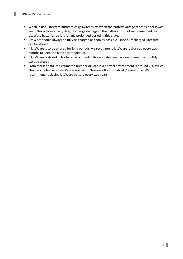- When in use, LiteWare automatically switches off when the battery voltage reaches a set lower limit. This is to avoid any deep discharge damage of the battery. It is not recommended that LiteWare batteries be left for any prolonged period in this state.
- LiteWare should always be fully re-charged as soon as possible. Once fully charged LiteWare can be stored.
- If LiteWare is to be unused for long periods, we recommend LiteWare is charged every two months to keep the batteries topped up.
- If LiteWare is stored in hotter environments (above 20 degrees), we recommend a monthly storage charge.
- From market data, the estimated number of uses in a normal environment is around 200 cycles. This may be higher if LiteWare is not run to 'turning off automatically' every time. We recommend replacing LiteWare battery every two years.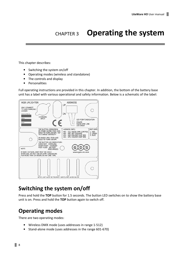## CHAPTER 3 Operating the system

This chapter describes:

- Switching the system on/off
- Operating modes (wireless and standalone)
- The controls and display
- Personalities

Full operating instructions are provided in this chapter. In addition, the bottom of the battery base unit has a label with various operational and safety information. Below is a schematic of the label:



## Switching the system on/off

Press and hold the TOP button for 1.5 seconds. The button LED switches on to show the battery base unit is on. Press and hold the TOP button again to switch off.

## Operating modes

There are two operating modes:

- Wireless DMX mode (uses addresses in range 1-512)
- Stand-alone mode (uses addresses in the range 601-670)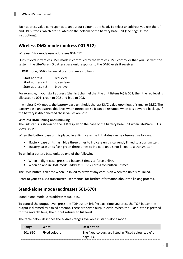Each address value corresponds to an output colour at the head. To select an address you use the UP and DN buttons, which are situated on the bottom of the battery base unit (see page 11 for instructions).

#### Wireless DMX mode (address 001-512)

Wireless DMX mode uses addresses 001-512.

Output level in wireless DMX mode is controlled by the wireless DMX controller that you use with the system; the LiteWare HO battery base unit responds to the DMX levels it receives.

In RGB mode, DMX channel allocations are as follows:

| Start address      | red level   |
|--------------------|-------------|
| Start address $+1$ | green level |
| Start address $+2$ | blue level  |

For example, if your start address (the first channel that the unit listens to) is 001, then the red level is allocated to 001, green to 002 and blue to 003.

In wireless DMX mode, the battery base unit holds the last DMX value upon loss of signal or DMX. The battery base unit stores this level when turned off so it can be resumed when it is powered back up. If the battery is disconnected these values are lost.

#### Wireless DMX linking and unlinking

The link status is shown on the LED display on the base of the battery base unit when LiteWare HO is powered on.

When the battery base unit is placed in a flight case the link status can be observed as follows:

- Battery base units flash blue three times to indicate unit is currently linked to a transmitter.
- Battery base units flash green three times to indicate unit is not linked to a transmitter.

To unlink a battery base unit, do one of the following:

- When in flight case, press top button 3 times to force unlink.
- When on and in DMX mode (address 1 512) press top button 3 times.

The DMX buffer is cleared when unlinked to prevent any confusion when the unit is re-linked.

Refer to your W-DMX transmitter user manual for further information about the linking process.

#### Stand-alone mode (addresses 601-670)

Stand-alone mode uses addresses 601-670.

To control the output level, press the TOP button briefly: each time you press the TOP button the output is dimmed by a fixed amount. There are seven output levels. When the TOP button is pressed for the seventh time, the output returns to full level.

The table below describes the address ranges available in stand-alone mode.

| Range   | What                 | <b>Description</b>                                      |
|---------|----------------------|---------------------------------------------------------|
| 601-650 | <b>Fixed colours</b> | The fixed colours are listed in 'Fixed colour table' on |
|         |                      | page 13.                                                |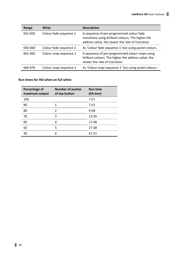| Range   | What                   | <b>Description</b>                                                                                                                                   |
|---------|------------------------|------------------------------------------------------------------------------------------------------------------------------------------------------|
| 651-655 | Colour fade sequence 1 | A sequence of pre-programmed colour fade<br>transitions using brilliant colours. The higher the<br>address value, the slower the rate of transition. |
| 656-660 | Colour fade sequence 2 | As 'Colour fade sequence 1' but using pastel colours.                                                                                                |
| 661-665 | Colour snap sequence 1 | A sequence of pre-programmed colour snaps using<br>brilliant colours. The higher the address value, the<br>slower the rate of transition.            |
| 666-670 | Colour snap sequence 2 | As 'Colour snap sequence 1' but using pastel colours.                                                                                                |

#### Run times for HO when on full white

| Percentage of<br>maximum output | <b>Number of pushes</b><br>of top button | <b>Run time</b><br>(hh:mm) |
|---------------------------------|------------------------------------------|----------------------------|
| 100                             |                                          | 7:21                       |
|                                 |                                          | 7:53                       |
|                                 |                                          | 9:58                       |
|                                 |                                          | 13:35                      |
|                                 |                                          | 17:48                      |
|                                 |                                          | 27:38<br>                  |
|                                 |                                          | 67.21                      |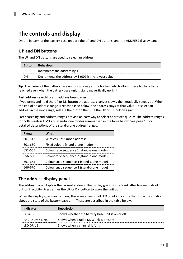#### The controls and display

On the bottom of the battery base unit are the UP and DN buttons, and the ADDRESS display panel.

#### UP and DN buttons

The UP and DN buttons are used to select an address.

| <b>Button</b> | <b>Behaviour</b>                                       |
|---------------|--------------------------------------------------------|
| UP            | Increments the address by 1.                           |
| DΝ            | Decrements the address by 1 (001 is the lowest value). |

Tip: The casing of the battery base unit is cut away at the bottom which allows these buttons to be reached even when the battery base unit is standing vertically upright.

#### Fast address searching and address boundaries

If you press and hold the UP or DN button the address changes slowly then gradually speeds up. When the end of an address range is reached (see below) the address stays at that value. To select an address in the next range, release the button then use the UP or DN button again.

Fast searching and address ranges provide an easy way to select addresses quickly. The address ranges for both wireless DMX and stand-alone modes summarised in the table below. See page 13 for detailed descriptions of the stand-alone address ranges.

| Range   | What                                      |
|---------|-------------------------------------------|
| 001-512 | Wireless DMX mode address                 |
| 601-650 | Fixed colours (stand-alone mode)          |
| 651-655 | Colour fade sequence 1 (stand-alone mode) |
| 656-660 | Colour fade sequence 2 (stand-alone mode) |
| 661-665 | Colour snap sequence 1 (stand-alone mode) |
| 666-670 | Colour snap sequence 2 (stand-alone mode) |

#### The address display panel

The address panel displays the current address. The display goes mostly blank after five seconds of button inactivity. Press either the UP or DN button to wake the unit up.

When the display goes mostly blank, there are a few small LED point indicators that show information about the state of the battery base unit. These are described in the table below.

| Indicator      | <b>Description</b>                                |
|----------------|---------------------------------------------------|
| <b>POWER</b>   | Shows whether the battery base unit is on or off. |
| RADIO DMX LINK | Shows when a radio DMX link is present.           |
| I FD DRIVF.    | Shows when a channel is 'on'.                     |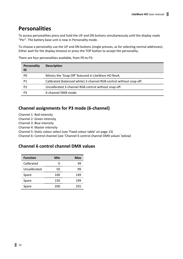#### **Personalities**

To access personalities press and hold the UP and DN buttons simultaneously until the display reads "Per". The battery base unit is now in Personality mode.

To choose a personality use the UP and DN buttons (single presses, as for selecting normal addresses). Either wait for the display timeout or press the TOP button to accept the personality.

There are four personalities available, from P0 to P3:

| Personality<br>ID | <b>Description</b>                                                  |
|-------------------|---------------------------------------------------------------------|
| PΟ                | Mimics the 'Snap Off' featured in LiteWare HO RevA.                 |
|                   | Calibrated (balanced white) 3-channel RGB control without snap off. |
|                   | Uncalibrated 3-channel RGB control without snap off.                |
|                   | 6-channel DMX mode.                                                 |

#### Channel assignments for P3 mode (6-channel)

Channel 1: Red intensity

Channel 2: Green intensity

Channel 3: Blue intensity

Channel 4: Master intensity

Channel 5: Static colour select (see 'Fixed colour table' on page 13)

Channel 6: Control channel (see 'Channel 6 control channel DMX values' below)

#### Channel 6 control channel DMX values

| <b>Function</b> | Min | Max |
|-----------------|-----|-----|
| Calibrated      |     | 10  |
| Uncalibrated    | 50  | qc  |
| Spare           | 100 | 149 |
| Spare           | 150 | 199 |
| Spare           | 200 | 255 |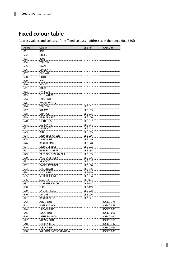## Fixed colour table

Address values and colours of the 'fixed colours' (addresses in the range 601-650):

| Address    | Colour                                   | LEE ref                   | ROSCO ref        |
|------------|------------------------------------------|---------------------------|------------------|
| 601        | RED                                      |                           |                  |
| 602        | GREEN                                    |                           |                  |
| 603        | <b>BLUE</b>                              |                           |                  |
| 604        | YELLOW                                   |                           |                  |
| 605        | <b>CYAN</b>                              |                           |                  |
| 606        | MAGENTA                                  |                           |                  |
| 607        | ORANGE                                   |                           |                  |
| 608        | GOLD                                     |                           |                  |
| 609        | <b>PINK</b>                              |                           |                  |
| 610        | <b>VIOLET</b>                            |                           |                  |
| 611        | AQUA                                     |                           |                  |
| 612        | <b>SKY BLUE</b>                          |                           |                  |
| 613        | <b>FULL WHITE</b>                        |                           |                  |
| 614        | <b>COOL WHITE</b>                        |                           |                  |
| 615        | <b>WARM WHITE</b>                        |                           |                  |
| 616        | YELLOW                                   | <b>LEE 101</b>            |                  |
| 617        | <b>STRAW</b>                             | <b>LEE 103</b>            |                  |
| 618        | ORANGE                                   | <b>LEE 105</b>            |                  |
| 619        | PRIMARY RED                              | LEE 106                   |                  |
| 620        | <u>LIGHT ROSE</u>                        |                           |                  |
| 621        | <b>DARK PINK</b>                         | LEE 107<br><b>LEE 111</b> |                  |
| 622        | MAGENTA                                  | <b>LEE 113</b>            |                  |
| 623        | <b>BLUE</b>                              | <b>LEE 115</b>            |                  |
| 624        | MED BLUE GREEN                           | <b>LEE 116</b>            |                  |
| 625        | DARK BLUE                                | <b>LEE 119</b>            |                  |
|            |                                          |                           |                  |
| 626        | BRIGHT PINK<br><b>MEDIUM BLUE</b>        | LEE 128<br><b>LEE 132</b> |                  |
| 627<br>628 | <b>GOLDEN AMBER</b>                      | <b>LEE 134</b>            |                  |
|            | DEEP GOLDEN AMBER                        | <b>LEE 135</b>            |                  |
| 629<br>630 |                                          | <b>LEE 136</b>            |                  |
| 631        | PALE LAVENDER<br><b>APRICOT</b>          | <b>LEE 147</b>            |                  |
|            |                                          |                           |                  |
| 632        | DARK LAVENDER                            | <b>LEE 180</b>            |                  |
| 633        | CHOCOLATE                                | <b>LEE 156</b>            |                  |
| 634        | <b>JUST BLUE</b><br><b>SURPRISE PINK</b> | LEE 079                   |                  |
| 635        |                                          | <b>LEE 194</b>            |                  |
| 636        | <b>SCARLET</b><br><b>SURPRISE PEACH</b>  | <b>LEE 024</b>            |                  |
| 637        |                                          | <b>LEE 017</b>            |                  |
| 638        | <b>FIRE</b>                              | <b>LEE 019</b>            |                  |
| 639        | <b>ENGLISH ROSE</b>                      | LEE 108                   |                  |
| 640        | <b>MAUVE</b>                             | <b>LEE 126</b>            |                  |
| 641        | <b>BRIGHT BLUE</b>                       | <b>LEE 141</b>            |                  |
| 642        | <b>ALICE BLUE</b>                        |                           | ROSCO 378        |
| 643        | ROSE INDIGO                              |                           | <b>ROSCO 358</b> |
| 644        | URBAN BLUE                               |                           | <b>ROSCO 081</b> |
| 645        | COOL BLUE                                |                           | <b>ROSCO 066</b> |
| 646        | LIGHT SALMON                             |                           | ROSCO 030        |
| 647        | <b>MAYAN SUN</b>                         |                           | <b>ROSCO 318</b> |
| 648        | <b>CHERRY ROSE</b>                       |                           | <b>ROSCO 332</b> |
| 649        | <b>FLESH PINK</b>                        |                           | ROSCO 034        |
| 650        | SKELTON EXOTIC SANGRIA                   |                           | ROSCO 039        |